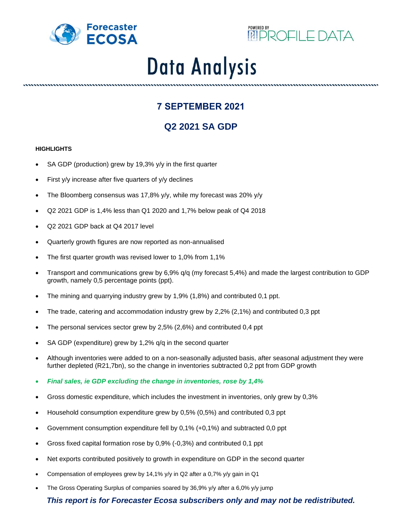



# **Data Analysis**

## **7 SEPTEMBER 2021**

# **Q2 2021 SA GDP**

### **HIGHLIGHTS**

- SA GDP (production) grew by 19,3% y/y in the first quarter
- First y/y increase after five quarters of y/y declines
- The Bloomberg consensus was 17,8% y/y, while my forecast was 20% y/y
- Q2 2021 GDP is 1,4% less than Q1 2020 and 1,7% below peak of Q4 2018
- Q2 2021 GDP back at Q4 2017 level
- Quarterly growth figures are now reported as non-annualised
- The first quarter growth was revised lower to 1,0% from 1,1%
- Transport and communications grew by 6,9% q/q (my forecast 5,4%) and made the largest contribution to GDP growth, namely 0,5 percentage points (ppt).
- The mining and quarrying industry grew by 1,9% (1,8%) and contributed 0,1 ppt.
- The trade, catering and accommodation industry grew by 2,2% (2,1%) and contributed 0,3 ppt
- The personal services sector grew by 2,5% (2,6%) and contributed 0,4 ppt
- SA GDP (expenditure) grew by 1,2% q/q in the second quarter
- Although inventories were added to on a non-seasonally adjusted basis, after seasonal adjustment they were further depleted (R21,7bn), so the change in inventories subtracted 0,2 ppt from GDP growth
- *Final sales, ie GDP excluding the change in inventories, rose by 1,4%*
- Gross domestic expenditure, which includes the investment in inventories, only grew by 0,3%
- Household consumption expenditure grew by 0,5% (0,5%) and contributed 0,3 ppt
- Government consumption expenditure fell by 0,1% (+0,1%) and subtracted 0,0 ppt
- Gross fixed capital formation rose by 0,9% (-0,3%) and contributed 0,1 ppt
- Net exports contributed positively to growth in expenditure on GDP in the second quarter
- Compensation of employees grew by 14,1% y/y in Q2 after a 0,7% y/y gain in Q1
- The Gross Operating Surplus of companies soared by 36,9% y/y after a 6,0% y/y jump

## *This report is for Forecaster Ecosa subscribers only and may not be redistributed.*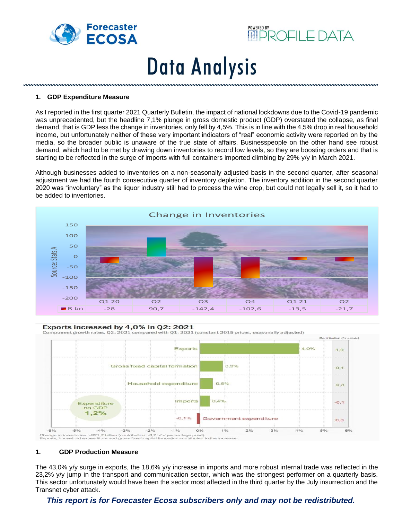



# **Data Analysis**

#### **1. GDP Expenditure Measure**

As I reported in the first quarter 2021 Quarterly Bulletin, the impact of national lockdowns due to the Covid-19 pandemic was unprecedented, but the headline 7,1% plunge in gross domestic product (GDP) overstated the collapse, as final demand, that is GDP less the change in inventories, only fell by 4,5%. This is in line with the 4,5% drop in real household income, but unfortunately neither of these very important indicators of "real" economic activity were reported on by the media, so the broader public is unaware of the true state of affairs. Businesspeople on the other hand see robust demand, which had to be met by drawing down inventories to record low levels, so they are boosting orders and that is starting to be reflected in the surge of imports with full containers imported climbing by 29% y/y in March 2021.

Although businesses added to inventories on a non-seasonally adjusted basis in the second quarter, after seasonal adjustment we had the fourth consecutive quarter of inventory depletion. The inventory addition in the second quarter 2020 was "involuntary" as the liquor industry still had to process the wine crop, but could not legally sell it, so it had to be added to inventories.



#### Exports increased by 4,0% in Q2: 2021

Component growth rates. Q2: 2021 compared with Q1: 2021 (constant 2015 prices, seasonally adjusted)



#### **1. GDP Production Measure**

The 43,0% y/y surge in exports, the 18,6% y/y increase in imports and more robust internal trade was reflected in the 23,2% y/y jump in the transport and communication sector, which was the strongest performer on a quarterly basis. This sector unfortunately would have been the sector most affected in the third quarter by the July insurrection and the Transnet cyber attack.

#### *This report is for Forecaster Ecosa subscribers only and may not be redistributed.*